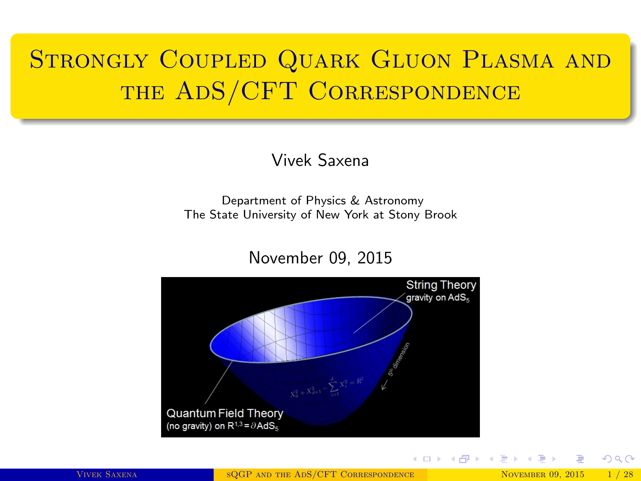# <span id="page-0-0"></span>STRONGLY COUPLED QUARK GLUON PLASMA AND the AdS/CFT Correspondence

#### Vivek Saxena

Department of Physics & Astronomy The State University of New York at Stony Brook

#### November 09, 2015



 $2Q$ 

メロメ メ都 メメ 君 メメ 君 メ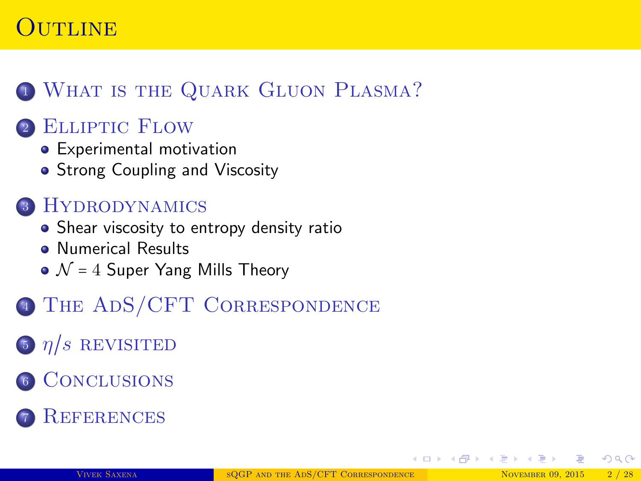### UTLINE

### <sup>1</sup> [What is the Quark Gluon Plasma?](#page-2-0)

#### <sup>2</sup> [Elliptic Flow](#page-3-0)

- [Experimental motivation](#page-5-0)
- [Strong Coupling and Viscosity](#page-6-0)

#### <sup>3</sup> [Hydrodynamics](#page-7-0)

- [Shear viscosity to entropy density ratio](#page-9-0)
- **[Numerical Results](#page-10-0)**
- $\bullet$   $\mathcal{N}$  = 4 [Super Yang Mills Theory](#page-11-0)
- <sup>4</sup> [The AdS/CFT Correspondence](#page-12-0)
- 5  $\eta/s$  REVISITED
- <sup>6</sup> [Conclusions](#page-20-0)
- **REFERENCES**

 $QQ$ 

イロト イ母ト イヨト イヨト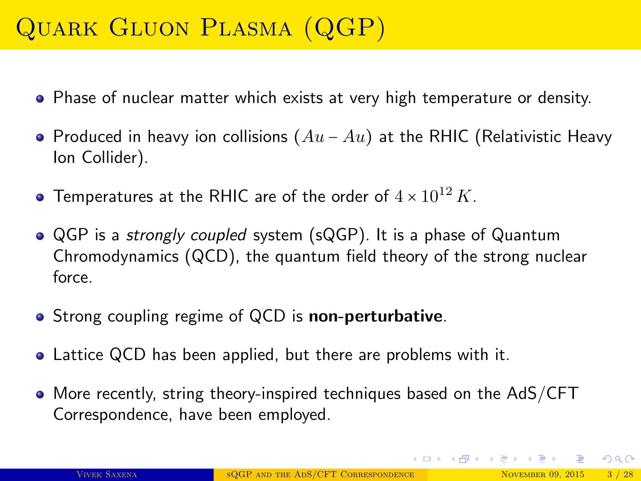# <span id="page-2-0"></span>Quark Gluon Plasma (QGP)

- Phase of nuclear matter which exists at very high temperature or density.
- Produced in heavy ion collisions  $(Au Au)$  at the RHIC (Relativistic Heavy Ion Collider).
- $\bullet$  Temperatures at the RHIC are of the order of  $4\times 10^{12}\,K.$
- QGP is a *strongly coupled* system (sQGP). It is a phase of Quantum Chromodynamics (QCD), the quantum field theory of the strong nuclear force.
- Strong coupling regime of QCD is **non-perturbative**.
- Lattice QCD has been applied, but there are problems with it.
- More recently, string theory-inspired techniques based on the AdS/CFT Correspondence, have been employed.

 $QQ$ 

イロメ イ部メ イヨメ イヨメ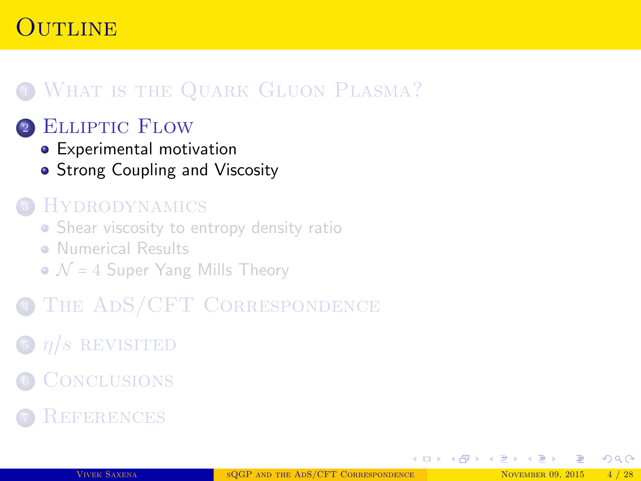### <span id="page-3-0"></span>Outline

### **1 WHAT IS THE QUARK GLUON PLASMA?**

#### <sup>2</sup> [Elliptic Flow](#page-3-0)

- [Experimental motivation](#page-5-0)
- **[Strong Coupling and Viscosity](#page-6-0)**

#### **HYDRODYNAMICS**

- [Shear viscosity to entropy density ratio](#page-9-0)
- **[Numerical Results](#page-10-0)**
- $\bullet$   $\mathcal{N}$  = 4 [Super Yang Mills Theory](#page-11-0)
- THE ADS/CFT CORRESPONDENCE
- $\int$   $\frac{\eta}{s}$  REVISITED
- **6 CONCLUSIONS**
- **REFERENCES**

 $\Omega$ 

∢ ロ ▶ ( 伊 ▶ ( 唐 ▶ ( 唐 )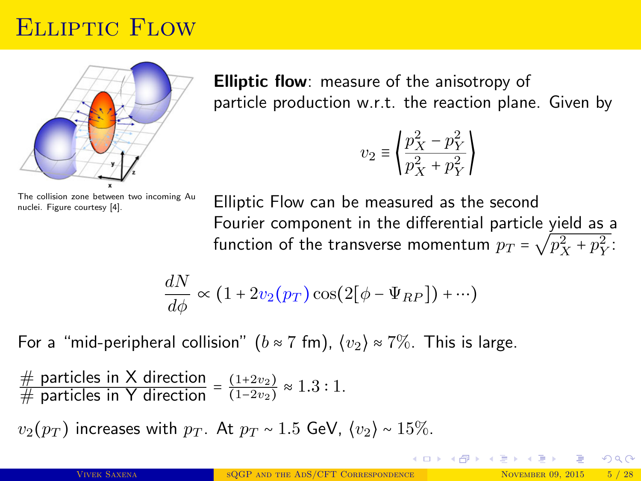### Elliptic Flow



**Elliptic flow:** measure of the anisotropy of particle production w.r.t. the reaction plane. Given by

$$
\upsilon_2 \equiv \left\langle \frac{p_X^2 - p_Y^2}{p_X^2 + p_Y^2} \right\rangle
$$

The collision zone between two incoming Au nuclei. Figure courtesy [\[4\]](#page-22-1).

Elliptic Flow can be measured as the second Fourier component in the differential particle yield as a function of the transverse momentum  $p_T$  =  $\sqrt{p_X^2 + p_Y^2}$ :

$$
\frac{dN}{d\phi} \propto (1 + 2v_2(p_T)\cos(2[\phi - \Psi_{RP}]) + \cdots)
$$

For a "mid-peripheral collision" ( $b \approx 7$  fm),  $\langle v_2 \rangle \approx 7\%$ . This is large.

# particles in X direction =  $\frac{(1+2v_2)}{(1-2v_2)}$  $\frac{(1+2v_2)}{(1-2v_2)} \approx 1.3:1.$ 

 $v_2(p_T)$  increases with  $p_T$ . At  $p_T \sim 1.5$  GeV,  $\langle v_2 \rangle \sim 15\%$ .

 $\Omega$ 

イロン イ母ン イヨン イヨン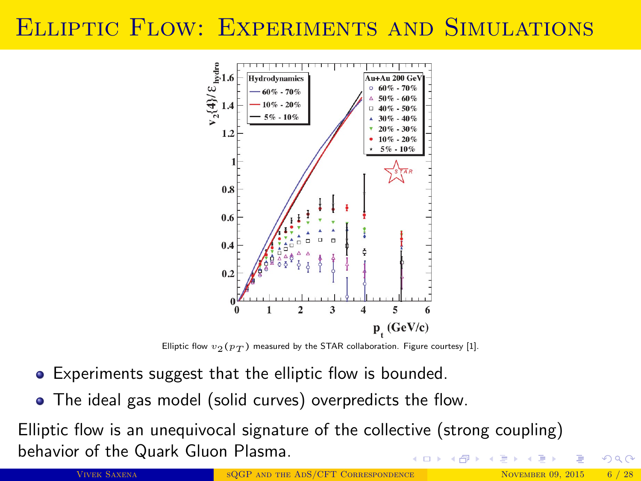### <span id="page-5-0"></span>Elliptic Flow: Experiments and Simulations



Elliptic flow  $v_2(p_T)$  measured by the STAR collaboration. Figure courtesy [\[1\]](#page-22-2).

- Experiments suggest that the elliptic flow is bounded.
- The ideal gas model (solid curves) overpredicts the flow.

Elliptic flow is an unequivocal signature of the collective (strong coupling) behavior of the Quark Gluon Plasma.  $4$  ロ }  $4$   $\overline{m}$  }  $4$   $\overline{m}$  }  $4$ 

VIVEK SAXENA SQGP AND THE ADS/CFT CORRESPONDENCE NOVEMBER 09, 2015 6 / 28

 $\Omega$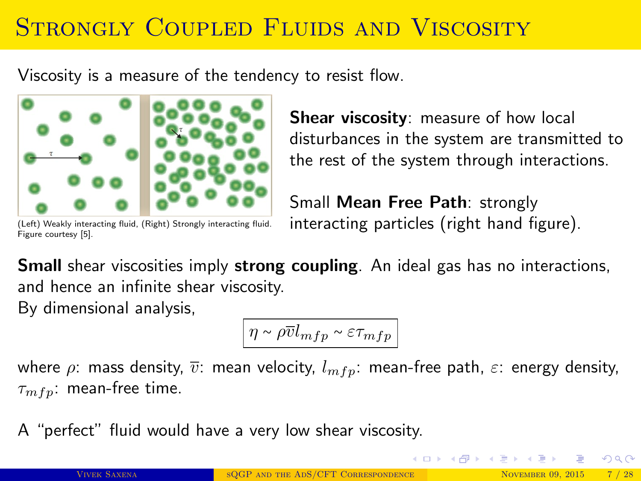# <span id="page-6-0"></span>STRONGLY COUPLED FLUIDS AND VISCOSITY

Viscosity is a measure of the tendency to resist flow.



**Shear viscosity:** measure of how local disturbances in the system are transmitted to the rest of the system through interactions.

(Left) Weakly interacting fluid, (Right) Strongly interacting fluid. Figure courtesy [\[5\]](#page-22-3).

Small Mean Free Path: strongly interacting particles (right hand figure).

**Small** shear viscosities imply **strong coupling**. An ideal gas has no interactions, and hence an infinite shear viscosity. By dimensional analysis,

 $|\eta \sim \rho \overline{v} l_{mfp} \sim \varepsilon \tau_{mfp}|$ 

where  $\rho$ : mass density,  $\bar{v}$ : mean velocity,  $l_{mfp}$ : mean-free path,  $\varepsilon$ : energy density,  $\tau_{mfp}$ : mean-free time.

A "perfect" fluid would have a very low shear viscosity.

 $\Omega$ 

イロメ イ部メ イヨメ イヨメ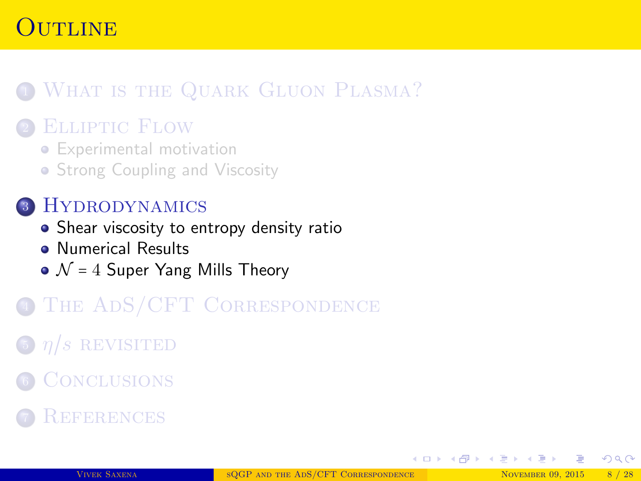### <span id="page-7-0"></span>Outline

### **1 WHAT IS THE QUARK GLUON PLASMA?**

#### <sup>2</sup> [Elliptic Flow](#page-3-0)

- [Experimental motivation](#page-5-0)
- [Strong Coupling and Viscosity](#page-6-0)

#### <sup>3</sup> [Hydrodynamics](#page-7-0)

- [Shear viscosity to entropy density ratio](#page-9-0)
- **[Numerical Results](#page-10-0)**
- $\bullet$   $\mathcal{N}$  = 4 [Super Yang Mills Theory](#page-11-0)
- THE ADS/CFT CORRESPONDENCE
- $\int$   $\frac{\eta}{s}$  REVISITED
- **6 CONCLUSIONS**
- **REFERENCES**

 $\Omega$ 

∢ ロ ▶ ( 伊 ▶ ( 唐 ▶ ( 唐 )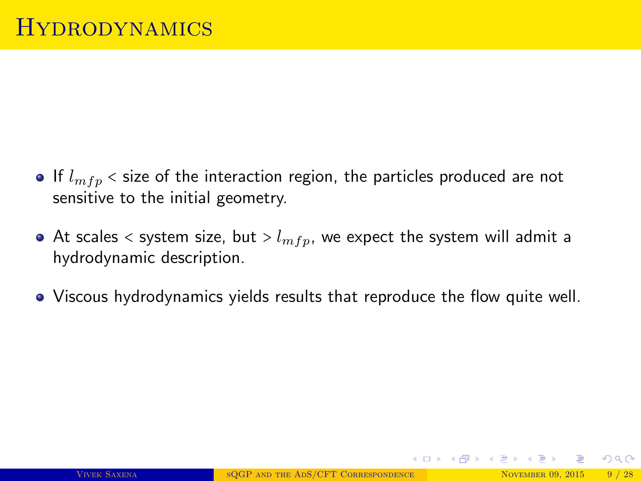- If  $l_{mfn}$  < size of the interaction region, the particles produced are not sensitive to the initial geometry.
- At scales  $\lt$  system size, but  $> l_{mfp}$ , we expect the system will admit a hydrodynamic description.
- Viscous hydrodynamics yields results that reproduce the flow quite well.

 $QQ$ 

イロメ イ部メ イヨメ イヨメ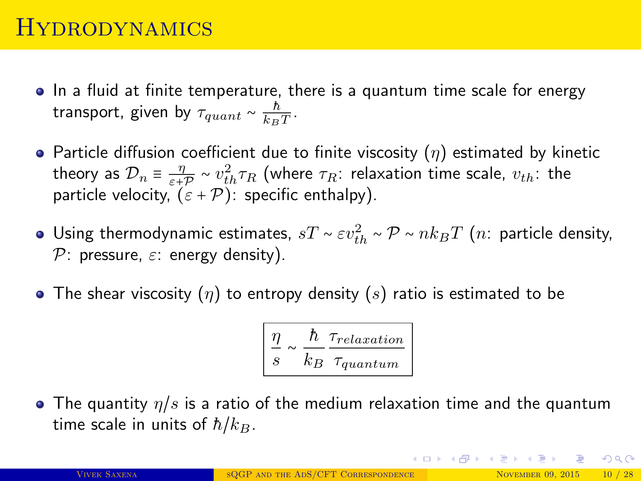### <span id="page-9-0"></span>**HYDRODYNAMICS**

- In a fluid at finite temperature, there is a quantum time scale for energy transport, given by  $\tau_{quant} \sim \frac{\hbar}{k_B}$  $\frac{h}{k_BT}$ .
- Particle diffusion coefficient due to finite viscosity  $(\eta)$  estimated by kinetic theory as  $\mathcal{D}_n \equiv \frac{\eta}{\varepsilon + 1}$  $\frac{\eta}{\varepsilon+\mathcal{P}} \sim v_{th}^2 \tau_R$  (where  $\tau_R$ : relaxation time scale,  $v_{th}$ : the particle velocity,  $(\varepsilon + \mathcal{P})$ : specific enthalpy).
- Using thermodynamic estimates,  $sT\sim \varepsilon v_{th}^2\sim \mathcal{P}\sim n k_BT$   $(n:$  particle density, P: pressure,  $\varepsilon$ : energy density).
- The shear viscosity  $(\eta)$  to entropy density  $(s)$  ratio is estimated to be

$$
\frac{\eta}{s} \sim \frac{\hbar}{k_B} \frac{\tau_{relaxation}}{\tau_{quantum}}
$$

• The quantity  $\eta/s$  is a ratio of the medium relaxation time and the quantum time scale in units of  $\hbar/k_B$ .

 $2990$ 

イロメ イ部メ イヨメ イヨメー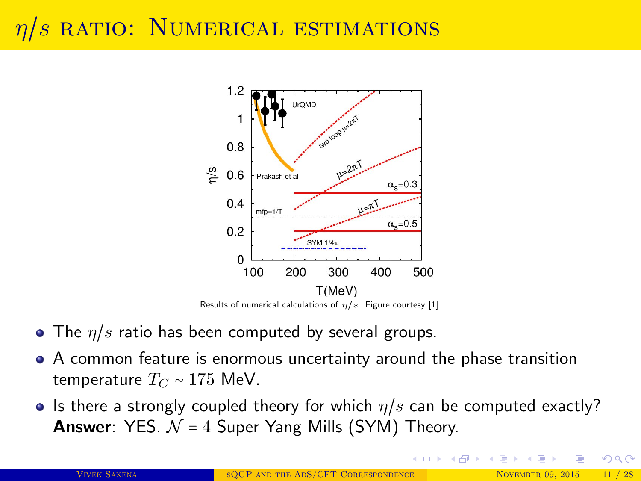# <span id="page-10-0"></span>s ratio: Numerical estimations



- The  $\eta/s$  ratio has been computed by several groups.
- A common feature is enormous uncertainty around the phase transition temperature  $T_{C} \sim 175$  MeV.
- Is there a strongly coupled theory for which  $\eta/s$  can be computed exactly? **Answer**: YES.  $N = 4$  Super Yang Mills (SYM) Theory.

 $\Omega$ 

K ロ ▶ K 御 ▶ K 듣 ▶ K 듣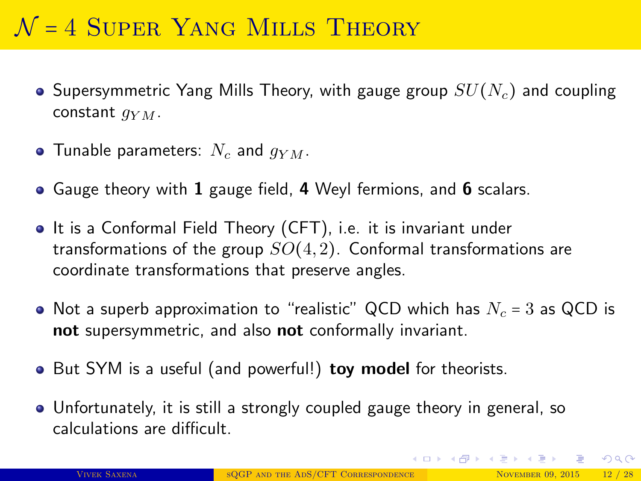# <span id="page-11-0"></span> $\mathcal{N}$  = 4 SUPER YANG MILLS THEORY

- Supersymmetric Yang Mills Theory, with gauge group  $SU(N_c)$  and coupling constant  $q_{YM}$ .
- Tunable parameters:  $N_c$  and  $q_{YM}$ .
- Gauge theory with 1 gauge field, 4 Weyl fermions, and 6 scalars.
- It is a Conformal Field Theory (CFT), i.e. it is invariant under transformations of the group  $SO(4,2)$ . Conformal transformations are coordinate transformations that preserve angles.
- Not a superb approximation to "realistic" QCD which has  $N_c = 3$  as QCD is not supersymmetric, and also not conformally invariant.
- But SYM is a useful (and powerful!) toy model for theorists.
- Unfortunately, it is still a strongly coupled gauge theory in general, so calculations are difficult.

 $\Omega$ 

イロト イ部 トイヨ トイヨト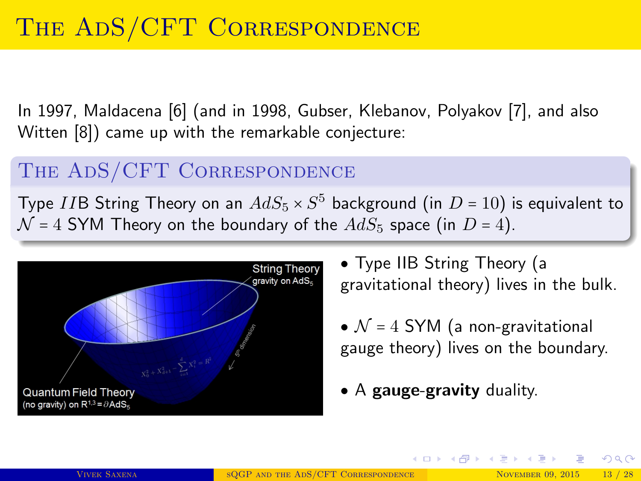<span id="page-12-0"></span>In 1997, Maldacena [\[6\]](#page-22-4) (and in 1998, Gubser, Klebanov, Polyakov [\[7\]](#page-22-5), and also Witten [\[8\]](#page-22-6)) came up with the remarkable conjecture:

#### THE ADS/CFT CORRESPONDENCE

Type  $I$ IB String Theory on an  $AdS_5\times S^5$  background (in  $D$  =  $10)$  is equivalent to  $\mathcal{N}$  = 4 SYM Theory on the boundary of the  $AdS_5$  space (in D = 4).



• Type IIB String Theory (a gravitational theory) lives in the bulk.

•  $\mathcal{N}$  = 4 SYM (a non-gravitational gauge theory) lives on the boundary.

イロン イ母ン イヨン イヨン

• A gauge-gravity duality.

 $QQ$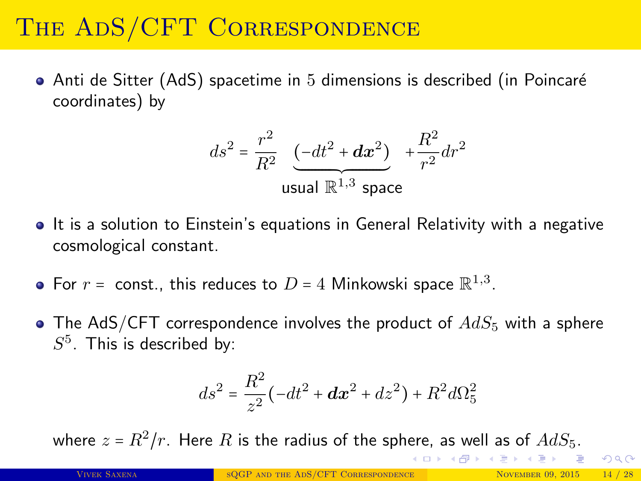• Anti de Sitter (AdS) spacetime in 5 dimensions is described (in Poincaré coordinates) by

$$
ds^{2} = \frac{r^{2}}{R^{2}} \underbrace{(-dt^{2} + dx^{2})}_{\text{usual } \mathbb{R}^{1,3} \text{ space}} + \frac{R^{2}}{r^{2}} dr^{2}
$$

- It is a solution to Einstein's equations in General Relativity with a negative cosmological constant.
- For  $r =$  const., this reduces to  $D = 4$  Minkowski space  $\mathbb{R}^{1,3}$ .
- The AdS/CFT correspondence involves the product of  $AdS_5$  with a sphere  $S^5$ . This is described by:

$$
ds^{2} = \frac{R^{2}}{z^{2}}(-dt^{2} + dx^{2} + dz^{2}) + R^{2}d\Omega_{5}^{2}
$$

where  $z$  =  $R^2/r.$  Here  $R$  is the radius of the sphere, as well as of  $AdS_5.$  $AdS_5.$  $AdS_5.$ 

 $\Omega$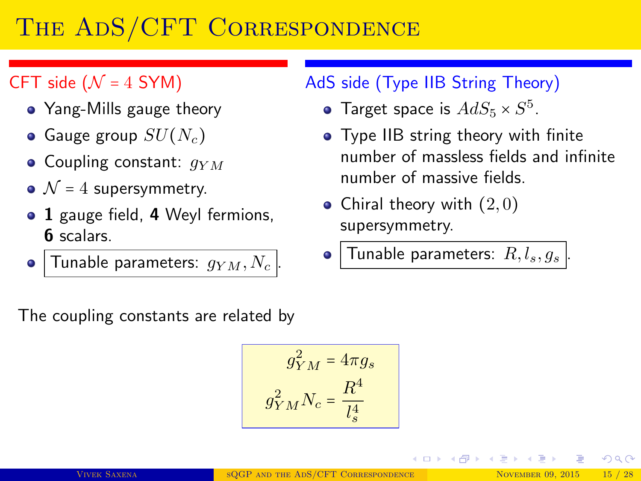#### CFT side ( $\mathcal{N} = 4$  SYM)

- Yang-Mills gauge theory
- Gauge group  $SU(N_c)$
- Coupling constant:  $q_{YM}$
- $\mathcal{N}$  = 4 supersymmetry.
- 1 gauge field, 4 Weyl fermions, 6 scalars.
- Tunable parameters:  $g_{YM}, N_c$

#### AdS side (Type IIB String Theory)

- Target space is  $AdS_5 \times S^5$ .
- **•** Type IIB string theory with finite number of massless fields and infinite number of massive fields.

K ロ ▶ K 御 ▶ K 듣 ▶ K 듣

- Chiral theory with  $(2,0)$ supersymmetry.
- Tunable parameters:  $R, l_s, g_s$

The coupling constants are related by

$$
g_{YM}^2 = 4\pi g_s
$$

$$
g_{YM}^2 N_c = \frac{R^4}{l_s^4}
$$

 $\Omega$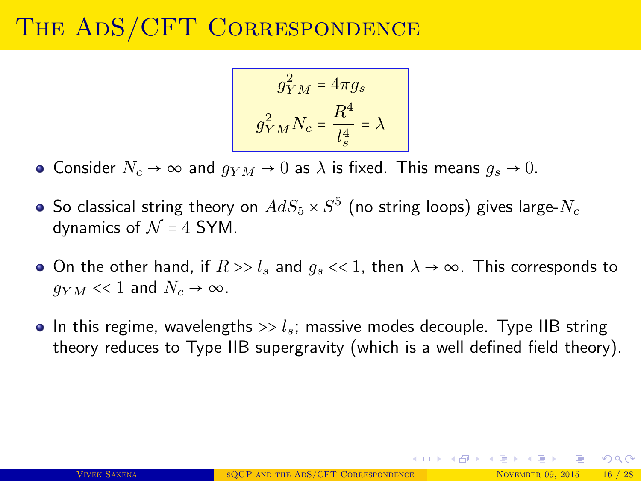$$
g_{YM}^2 = 4\pi g_s
$$

$$
g_{YM}^2 N_c = \frac{R^4}{l_s^4} = \lambda
$$

• Consider  $N_c \rightarrow \infty$  and  $q_{YM} \rightarrow 0$  as  $\lambda$  is fixed. This means  $q_s \rightarrow 0$ .

- So classical string theory on  $AdS_5\times S^5$  (no string loops) gives large- $N_c$ dynamics of  $\mathcal{N} = 4$  SYM.
- On the other hand, if  $R >> l_s$  and  $q_s << 1$ , then  $\lambda \to \infty$ . This corresponds to  $q_{YM} << 1$  and  $N_c \rightarrow \infty$ .
- In this regime, wavelengths  $\gg l_s$ ; massive modes decouple. Type IIB string theory reduces to Type IIB supergravity (which is a well defined field theory).

 $\Omega$ 

K ロ ⊁ K 倒 ≯ K 君 ⊁ K 君 ≯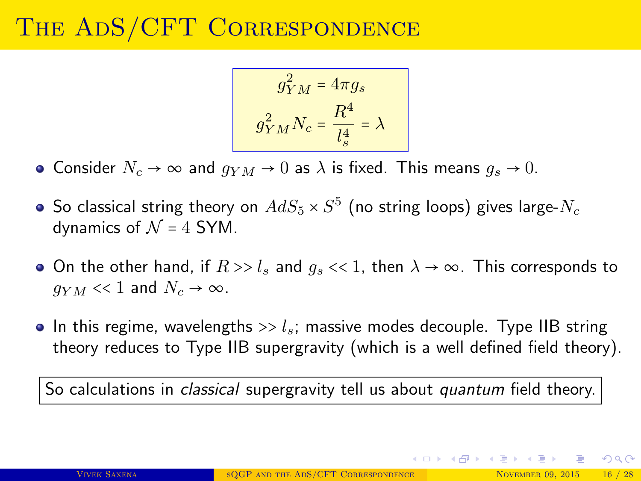$$
g_{YM}^2 = 4\pi g_s
$$

$$
g_{YM}^2 N_c = \frac{R^4}{l_s^4} = \lambda
$$

• Consider  $N_c \rightarrow \infty$  and  $g_{YM} \rightarrow 0$  as  $\lambda$  is fixed. This means  $g_s \rightarrow 0$ .

- So classical string theory on  $AdS_5\times S^5$  (no string loops) gives large- $N_c$ dynamics of  $\mathcal{N} = 4$  SYM.
- On the other hand, if  $R >> l_s$  and  $q_s << 1$ , then  $\lambda \to \infty$ . This corresponds to  $q_{YM} << 1$  and  $N_c \rightarrow \infty$ .
- In this regime, wavelengths  $\gg l_s$ ; massive modes decouple. Type IIB string theory reduces to Type IIB supergravity (which is a well defined field theory).

So calculations in *classical* supergravity tell us about *quantum* field theory.

 $QQQ$ 

K ロ ⊁ K 倒 ≯ K 君 ⊁ K 君 ≯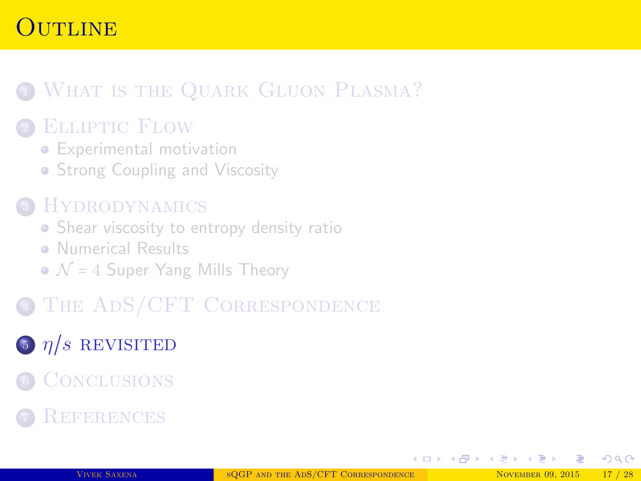### <span id="page-17-0"></span>Outline

### **1 WHAT IS THE QUARK GLUON PLASMA?**

#### <sup>2</sup> [Elliptic Flow](#page-3-0)

- [Experimental motivation](#page-5-0)
- [Strong Coupling and Viscosity](#page-6-0)

#### **HYDRODYNAMICS**

- [Shear viscosity to entropy density ratio](#page-9-0)
- **[Numerical Results](#page-10-0)**
- $\bullet$   $\mathcal{N}$  = 4 [Super Yang Mills Theory](#page-11-0)
- <sup>4</sup> [The AdS/CFT Correspondence](#page-12-0)

# $\frac{5}{\pi}$   $\frac{n}{s}$  [revisited](#page-17-0)

- **6 CONCLUSIONS**
- **REFERENCES**

 $QQ$ 

∢ ロ ▶ ( 伊 ▶ ( 唐 ▶ ( 唐 )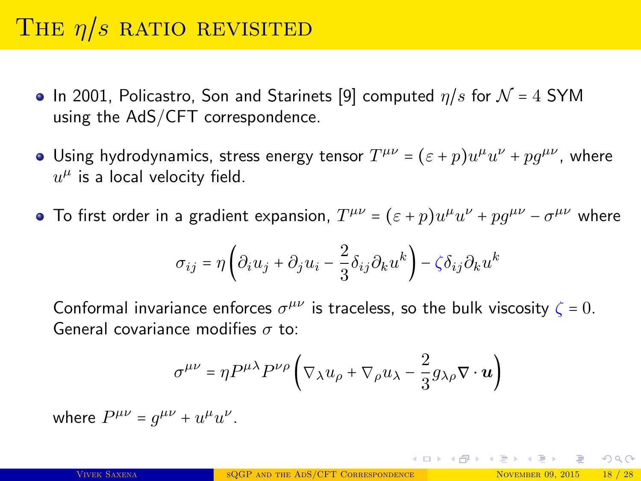# THE  $\eta/s$  ratio revisited

- In 2001, Policastro, Son and Starinets [\[9\]](#page-22-7) computed  $\eta/s$  for  $\mathcal{N} = 4$  SYM using the AdS/CFT correspondence.
- Using hydrodynamics, stress energy tensor  $T^{\mu\nu} = (\varepsilon + p)u^{\mu}u^{\nu} + pg^{\mu\nu}$ , where  $u^{\mu}$  is a local velocity field.
- To first order in a gradient expansion,  $T^{\mu\nu} = (\varepsilon + p)u^{\mu}u^{\nu} + pg^{\mu\nu} \sigma^{\mu\nu}$  where

$$
\sigma_{ij} = \eta \left( \partial_i u_j + \partial_j u_i - \frac{2}{3} \delta_{ij} \partial_k u^k \right) - \zeta \delta_{ij} \partial_k u^k
$$

Conformal invariance enforces  $\sigma^{\mu\nu}$  is traceless, so the bulk viscosity  $\zeta = 0$ . General covariance modifies  $\sigma$  to:

$$
\sigma^{\mu\nu} = \eta P^{\mu\lambda} P^{\nu\rho} \left( \nabla_{\lambda} u_{\rho} + \nabla_{\rho} u_{\lambda} - \frac{2}{3} g_{\lambda\rho} \nabla \cdot \boldsymbol{u} \right)
$$

where  $P^{\mu\nu} = g^{\mu\nu} + u^{\mu}u^{\nu}$ .

K ロ ▶ K @ ▶ K ミ ▶ K ミ ▶ │ ミ │ K) Q Q Q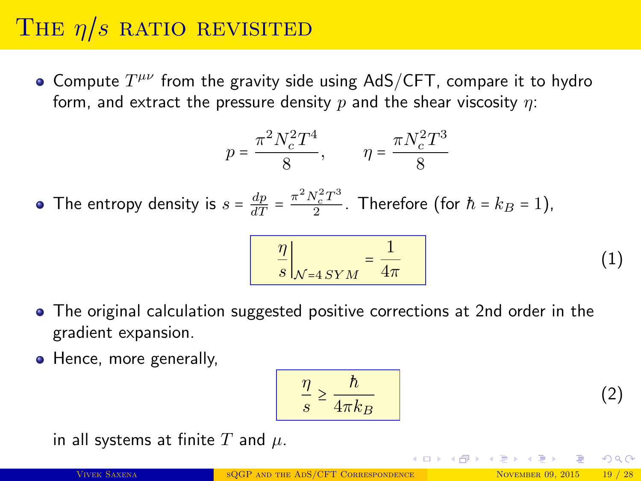# THE  $\eta/s$  ratio revisited

Compute  $T^{\mu\nu}$  from the gravity side using AdS/CFT, compare it to hydro form, and extract the pressure density  $p$  and the shear viscosity  $\eta$ :

$$
p = \frac{\pi^2 N_c^2 T^4}{8}, \qquad \eta = \frac{\pi N_c^2 T^3}{8}
$$

The entropy density is  $s = \frac{dp}{dT} = \frac{\pi^2 N_c^2 T^3}{2}$  $\frac{V_c^2 T^3}{2}$ . Therefore (for  $\hbar = k_B = 1$ ),

$$
\frac{\eta}{s}\bigg|_{\mathcal{N}=4\,SYM} = \frac{1}{4\pi} \tag{1}
$$

- The original calculation suggested positive corrections at 2nd order in the gradient expansion.
- Hence, more generally,

$$
\frac{\eta}{s} \ge \frac{h}{4\pi k_B}
$$

in all systems at finite T and  $\mu$ .

イロト イ部 トイヨ トイヨト

(2)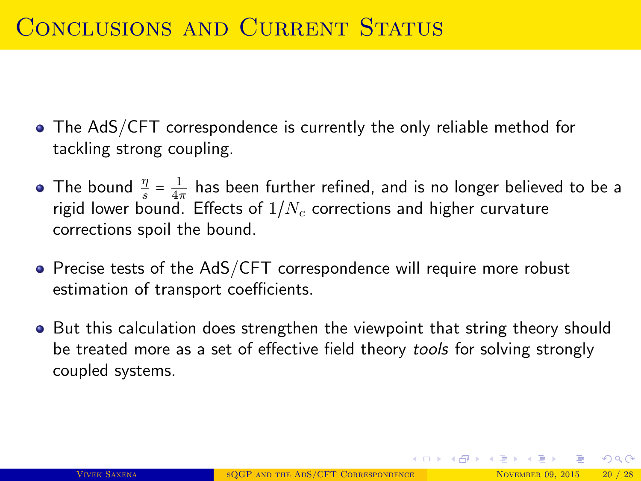### <span id="page-20-0"></span>CONCLUSIONS AND CURRENT STATUS

- The AdS/CFT correspondence is currently the only reliable method for tackling strong coupling.
- The bound  $\frac{\eta}{s} = \frac{1}{4\pi}$  has been further refined, and is no longer believed to be a rigid lower bound. Effects of  $1/N_c$  corrections and higher curvature corrections spoil the bound.
- Precise tests of the AdS/CFT correspondence will require more robust estimation of transport coefficients.
- **But this calculation does strengthen the viewpoint that string theory should** be treated more as a set of effective field theory tools for solving strongly coupled systems.

 $QQ$ 

イロト イ部 トイヨ トイヨト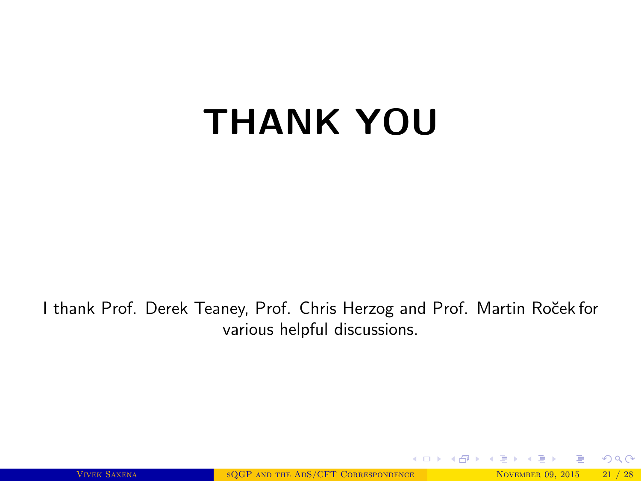# THANK YOU

I thank Prof. Derek Teaney, Prof. Chris Herzog and Prof. Martin Ro˘cek for various helpful discussions.

VIVEK SAXENA SOGP AND THE ADS/CFT CORRESPONDENCE NOVEMBER 09, 2015 21 / 28

 $298$ 

メロメ メタメ メミメ メミ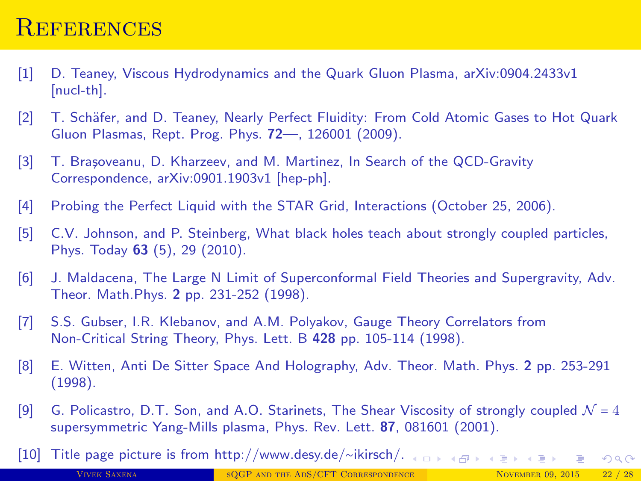#### <span id="page-22-0"></span>**REFERENCES**

- <span id="page-22-2"></span>[1] D. Teaney, Viscous Hydrodynamics and the Quark Gluon Plasma, [arXiv:0904.2433v1](http://arxiv.org/abs/0905.2433) [\[nucl-th\].](http://arxiv.org/abs/0905.2433)
- <span id="page-22-8"></span>[2] T. Schäfer, and D. Teaney, Nearly Perfect Fluidity: From Cold Atomic Gases to Hot Quark Gluon Plasmas, [Rept. Prog. Phys.](http://arxiv.org/abs/0904.3107) 72—, 126001 (2009).
- [3] T. Bra¸soveanu, D. Kharzeev, and M. Martinez, In Search of the QCD-Gravity Correspondence, [arXiv:0901.1903v1 \[hep-ph\].](http://arxiv.org/abs/0901.1903)
- <span id="page-22-3"></span><span id="page-22-1"></span>[4] Probing the Perfect Liquid with the STAR Grid, [Interactions \(October 25, 2006\).](http://www.interactions.org/sgtw/2006/1025/star_grid_more.html)
- [5] C.V. Johnson, and P. Steinberg, What black holes teach about strongly coupled particles, Phys. Today 63 [\(5\), 29 \(2010\).](http://scitation.aip.org/content/aip/magazine/physicstoday/article/63/5/10.1063/1.3431328)
- <span id="page-22-4"></span>[6] J. Maldacena, The Large N Limit of Superconformal Field Theories and Supergravity, [Adv.](http://arxiv.org/abs/hep-th/9711200) Theor. Math.Phys. 2 [pp. 231-252 \(1998\).](http://arxiv.org/abs/hep-th/9711200)
- <span id="page-22-5"></span>[7] S.S. Gubser, I.R. Klebanov, and A.M. Polyakov, Gauge Theory Correlators from Non-Critical String Theory, Phys. Lett. B 428 [pp. 105-114 \(1998\).](http://arxiv.org/abs/hep-th/9802109)
- <span id="page-22-6"></span>[8] E. Witten, Anti De Sitter Space And Holography, [Adv. Theor. Math. Phys.](http://arxiv.org/abs/hep-th/9802150) 2 pp. 253-291 [\(1998\).](http://arxiv.org/abs/hep-th/9802150)
- <span id="page-22-7"></span>[9] G. Policastro, D.T. Son, and A.O. Starinets, The Shear Viscosity of strongly coupled  $\mathcal{N} = 4$ supersymmetric Yang-Mills plasma, Phys. Rev. Lett. 87[, 081601 \(2001\).](http://journals.aps.org/prl/abstract/10.1103/PhysRevLett.87.081601)
- [10] Title page picture is from [http://www.desy.de/](http://www.desy.de/~ikirsch/)∼ikirsch/.  $A \cap B \rightarrow A \cap B \rightarrow A \cup B \rightarrow A \cup B \rightarrow$  $2Q$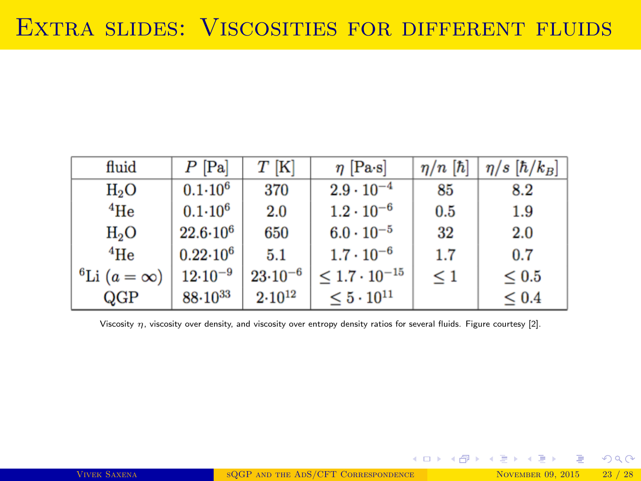| fluid                          | $P$ [Pa]              | $T$ [K]      | $\eta$ [Pa·s]             | $\eta/n$ [ $\hbar$ ] | $\eta/s~[\hbar/k_B]$ |
|--------------------------------|-----------------------|--------------|---------------------------|----------------------|----------------------|
| $H_2O$                         | $0.1 - 10^6$          | 370          | $2.9 \cdot 10^{-4}$       | 85                   | 8.2                  |
| $4$ He                         | $0.1 - 10^6$          | 2.0          | $1.2 \cdot 10^{-6}$       | 0.5                  | 1.9                  |
| $H_2O$                         | $22.6 \!\cdot\! 10^6$ | 650          | $6.0 \cdot 10^{-5}$       | 32                   | 2.0                  |
| $4\text{He}$                   | $0.22{\cdot}10^6$     | 5.1          | $1.7 \cdot 10^{-6}$       | 1.7                  | 0.7                  |
| <sup>6</sup> Li $(a = \infty)$ | $12{\cdot}10^{-9}$    | $23.10^{-6}$ | $\leq 1.7 \cdot 10^{-15}$ | $\leq 1$             | $\leq 0.5$           |
| QGP                            | $88.10^{33}$          | $2.10^{12}$  | $\leq 5\cdot 10^{11}$     |                      | $\leq 0.4$           |

Viscosity  $\eta$ , viscosity over density, and viscosity over entropy density ratios for several fluids. Figure courtesy [\[2\]](#page-22-8).

K ロ ▶ K @ ▶ K ミ ▶ K ミ ▶ - ' 큰' - K 9 Q @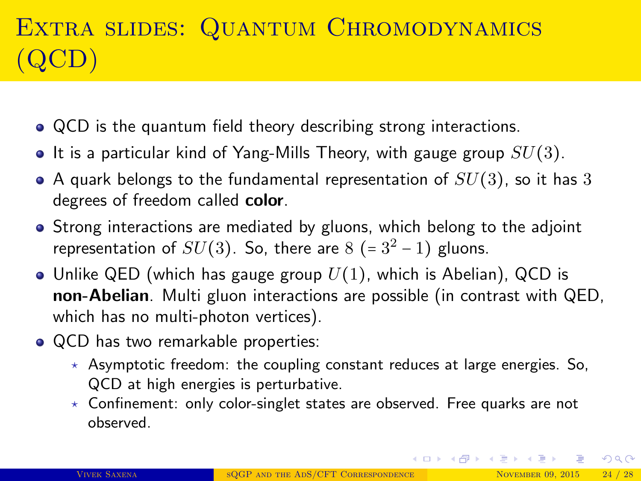# EXTRA SLIDES: QUANTUM CHROMODYNAMICS (QCD)

- QCD is the quantum field theory describing strong interactions.
- It is a particular kind of Yang-Mills Theory, with gauge group  $SU(3)$ .
- A quark belongs to the fundamental representation of  $SU(3)$ , so it has 3 degrees of freedom called color.
- Strong interactions are mediated by gluons, which belong to the adjoint representation of  $SU(3)$ . So, there are  $8 (= 3^2 - 1)$  gluons.
- Unlike QED (which has gauge group  $U(1)$ , which is Abelian), QCD is non-Abelian. Multi gluon interactions are possible (in contrast with QED, which has no multi-photon vertices).
- QCD has two remarkable properties:
	- $\star$  Asymptotic freedom: the coupling constant reduces at large energies. So, QCD at high energies is perturbative.
	- $\star$  Confinement: only color-singlet states are observed. Free quarks are not observed.

 $QQ$ 

イロト イ部 トイヨ トイヨト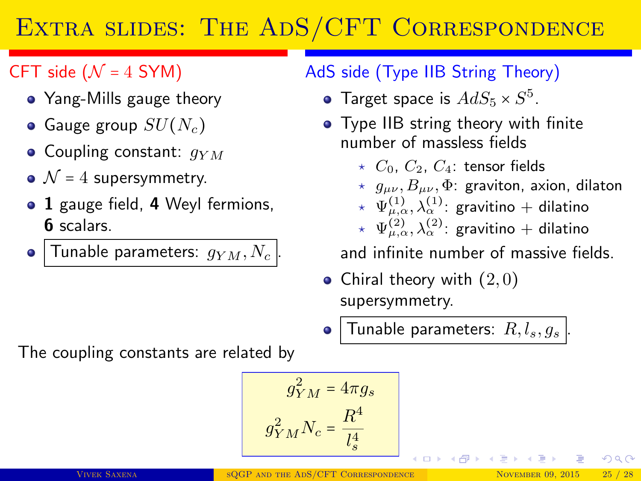## EXTRA SLIDES: THE ADS/CFT CORRESPONDENCE

#### CFT side ( $\mathcal{N} = 4$  SYM)

- Yang-Mills gauge theory
- Gauge group  $SU(N_c)$
- Coupling constant:  $q_{YM}$
- $\mathcal{N}$  = 4 supersymmetry.
- 1 gauge field, 4 Weyl fermions, 6 scalars.
- Tunable parameters:  $g_{YM}$ ,  $N_c$  $\bullet$

#### AdS side (Type IIB String Theory)

- Target space is  $AdS_5 \times S^5$ .
- Type IIB string theory with finite number of massless fields
	- $\star$  C<sub>0</sub>, C<sub>2</sub>, C<sub>4</sub>: tensor fields
	- $\star$   $g_{\mu\nu}, B_{\mu\nu}, \Phi$ : graviton, axion, dilaton
	- $\;\star\;\; \Psi_{\mu,\alpha}^{(1)}, \lambda_\alpha^{(1)}$ : gravitino + dilatino
	- $\;\star\;\; \Psi_{\mu,\alpha}^{(2)}, \lambda_\alpha^{(2)}$ : gravitino + dilatino

and infinite number of massive fields.

 $\left\{ \left( \left| \mathbf{q} \right| \right) \right\}$   $\left( \left| \mathbf{q} \right| \right)$   $\left| \mathbf{q} \right|$ 

- Chiral theory with  $(2,0)$ supersymmetry.
- Tunable parameters:  $R, l_s, g_s$

The coupling constants are related by

$$
g_{YM}^2 = 4\pi g_s
$$

$$
g_{YM}^2 N_c = \frac{R^4}{l_s^4}
$$

 $\Omega$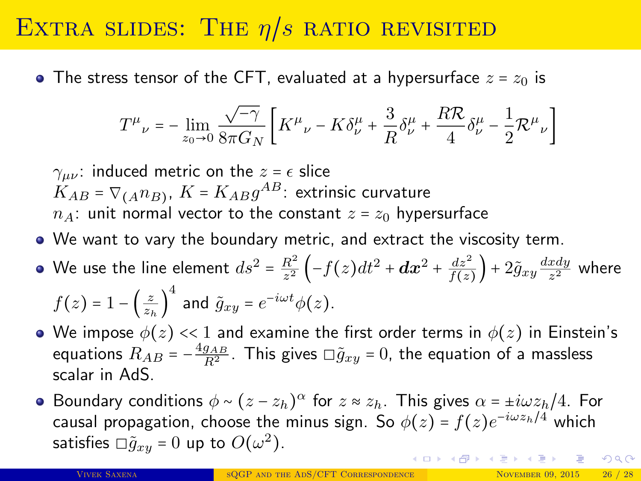### EXTRA SLIDES: THE  $\eta/s$  ratio revisited

• The stress tensor of the CFT, evaluated at a hypersurface  $z = z<sub>0</sub>$  is

$$
T^{\mu}{}_{\nu}=-\lim_{z_0\rightarrow 0}\frac{\sqrt{-\gamma}}{8\pi G_N}\left[K^{\mu}{}_{\nu}-K\delta^{\mu}_{\nu}+\frac{3}{R}\delta^{\mu}_{\nu}+\frac{R\mathcal{R}}{4}\delta^{\mu}_{\nu}-\frac{1}{2}\mathcal{R}^{\mu}{}_{\nu}\right]
$$

 $\gamma_{\mu\nu}$ : induced metric on the  $z = \epsilon$  slice  $K_{AB}$  =  $\nabla_{(A}n_{B)}$ ,  $K$  =  $K_{AB}g^{AB}$ : extrinsic curvature  $n_A$ : unit normal vector to the constant  $z = z_0$  hypersurface

- We want to vary the boundary metric, and extract the viscosity term.
- We use the line element  $ds^2 = \frac{R^2}{r^2}$  $\frac{R^2}{z^2}\left(-f(z)dt^2+\boldsymbol{dx}^2+\frac{dz^2}{f(z)}\right)+2\tilde{g}_{xy}\frac{dxdy}{z^2}$  $rac{xay}{z^2}$  where  $f(z) = 1 - \left(\frac{z}{z_h}\right)^4$  and  $\tilde{g}_{xy} = e^{-i\omega t} \phi(z)$ .
- We impose  $\phi(z) \ll 1$  and examine the first order terms in  $\phi(z)$  in Einstein's equations  $R_{AB} = -\frac{4g_{AB}}{R^2}$ . This gives  $\Box \tilde{g}_{xy} = 0$ , the equation of a massless scalar in AdS.
- Boundary conditions  $\phi \sim (z z_h)^{\alpha}$  for  $z \approx z_h$ . This gives  $\alpha = \pm i\omega z_h/4$ . For causal propagation, choose the minus sign. So  $\phi(z)$  =  $f(z)e^{-i\omega z_h/4}$  which satisfies  $\Box \tilde{g}_{xy} = 0$  up to  $O(\omega^2)$ . イロン イ団ン イミン イミン 一番  $QQQ$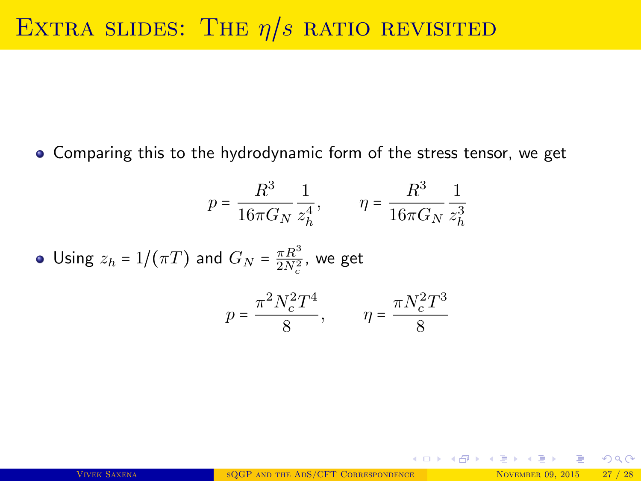Comparing this to the hydrodynamic form of the stress tensor, we get

$$
p = \frac{R^3}{16\pi G_N} \frac{1}{z_h^4}, \qquad \eta = \frac{R^3}{16\pi G_N} \frac{1}{z_h^3}
$$

• Using 
$$
z_h = 1/(\pi T)
$$
 and  $G_N = \frac{\pi R^3}{2N_c^2}$ , we get

$$
p = \frac{\pi^2 N_c^2 T^4}{8}, \qquad \eta = \frac{\pi N_c^2 T^3}{8}
$$

 $\Omega$ 

K ロ X K 御 X K 差 X K 差 X … 差